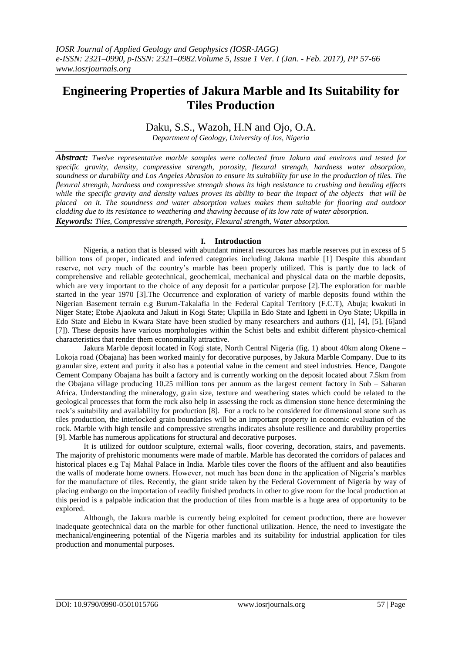# **Engineering Properties of Jakura Marble and Its Suitability for Tiles Production**

# Daku, S.S., Wazoh, H.N and Ojo, O.A.

*Department of Geology, University of Jos, Nigeria*

*Abstract: Twelve representative marble samples were collected from Jakura and environs and tested for specific gravity, density, compressive strength, porosity, flexural strength, hardness water absorption, soundness or durability and Los Angeles Abrasion to ensure its suitability for use in the production of tiles. The flexural strength, hardness and compressive strength shows its high resistance to crushing and bending effects*  while the specific gravity and density values proves its ability to bear the impact of the objects that will be *placed on it. The soundness and water absorption values makes them suitable for flooring and outdoor cladding due to its resistance to weathering and thawing because of its low rate of water absorption. Keywords: Tiles, Compressive strength, Porosity, Flexural strength, Water absorption.*

## **I. Introduction**

Nigeria, a nation that is blessed with abundant mineral resources has marble reserves put in excess of 5 billion tons of proper, indicated and inferred categories including Jakura marble [1] Despite this abundant reserve, not very much of the country's marble has been properly utilized. This is partly due to lack of comprehensive and reliable geotechnical, geochemical, mechanical and physical data on the marble deposits, which are very important to the choice of any deposit for a particular purpose [2]. The exploration for marble started in the year 1970 [3].The Occurrence and exploration of variety of marble deposits found within the Nigerian Basement terrain e.g Burum-Takalafia in the Federal Capital Territory (F.C.T), Abuja; kwakuti in Niger State; Etobe Ajaokuta and Jakuti in Kogi State; Ukpilla in Edo State and Igbetti in Oyo State; Ukpilla in Edo State and Elebu in Kwara State have been studied by many researchers and authors ([1], [4], [5], [6]and [7]). These deposits have various morphologies within the Schist belts and exhibit different physico-chemical characteristics that render them economically attractive.

Jakura Marble deposit located in Kogi state, North Central Nigeria (fig. 1) about 40km along Okene – Lokoja road (Obajana) has been worked mainly for decorative purposes, by Jakura Marble Company. Due to its granular size, extent and purity it also has a potential value in the cement and steel industries. Hence, Dangote Cement Company Obajana has built a factory and is currently working on the deposit located about 7.5km from the Obajana village producing 10.25 million tons per annum as the largest cement factory in Sub – Saharan Africa. Understanding the mineralogy, grain size, texture and weathering states which could be related to the geological processes that form the rock also help in assessing the rock as dimension stone hence determining the rock's suitability and availability for production [8]. For a rock to be considered for dimensional stone such as tiles production, the interlocked grain boundaries will be an important property in economic evaluation of the rock. Marble with high tensile and compressive strengths indicates absolute resilience and durability properties [9]. Marble has numerous applications for structural and decorative purposes.

It is utilized for outdoor sculpture, external walls, floor covering, decoration, stairs, and pavements. The majority of prehistoric monuments were made of marble. Marble has decorated the corridors of palaces and historical places e.g Taj Mahal Palace in India. Marble tiles cover the floors of the affluent and also beautifies the walls of moderate home owners. However, not much has been done in the application of Nigeria's marbles for the manufacture of tiles. Recently, the giant stride taken by the Federal Government of Nigeria by way of placing embargo on the importation of readily finished products in other to give room for the local production at this period is a palpable indication that the production of tiles from marble is a huge area of opportunity to be explored.

Although, the Jakura marble is currently being exploited for cement production, there are however inadequate geotechnical data on the marble for other functional utilization. Hence, the need to investigate the mechanical/engineering potential of the Nigeria marbles and its suitability for industrial application for tiles production and monumental purposes.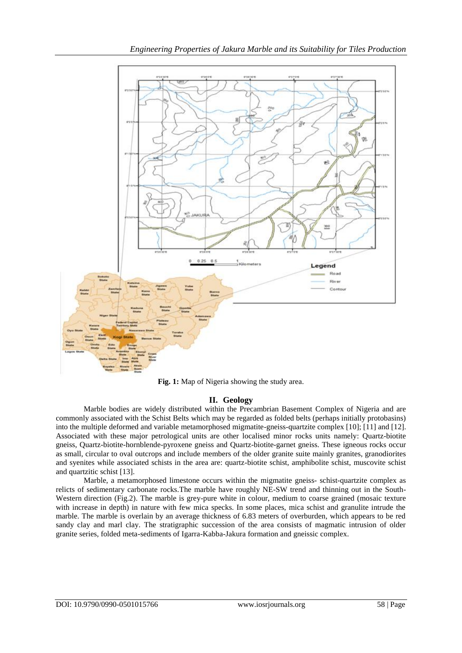

**Fig. 1:** Map of Nigeria showing the study area.

# **II. Geology**

Marble bodies are widely distributed within the Precambrian Basement Complex of Nigeria and are commonly associated with the Schist Belts which may be regarded as folded belts (perhaps initially protobasins) into the multiple deformed and variable metamorphosed migmatite-gneiss-quartzite complex [10]; [11] and [12]. Associated with these major petrological units are other localised minor rocks units namely: Quartz-biotite gneiss, Quartz-biotite-hornblende-pyroxene gneiss and Quartz-biotite-garnet gneiss. These igneous rocks occur as small, circular to oval outcrops and include members of the older granite suite mainly granites, granodiorites and syenites while associated schists in the area are: quartz-biotite schist, amphibolite schist, muscovite schist and quartzitic schist [13].

Marble, a metamorphosed limestone occurs within the migmatite gneiss- schist-quartzite complex as relicts of sedimentary carbonate rocks.The marble have roughly NE-SW trend and thinning out in the South-Western direction (Fig.2). The marble is grey-pure white in colour, medium to coarse grained (mosaic texture with increase in depth) in nature with few mica specks. In some places, mica schist and granulite intrude the marble. The marble is overlain by an average thickness of 6.83 meters of overburden, which appears to be red sandy clay and marl clay. The stratigraphic succession of the area consists of magmatic intrusion of older granite series, folded meta-sediments of Igarra-Kabba-Jakura formation and gneissic complex.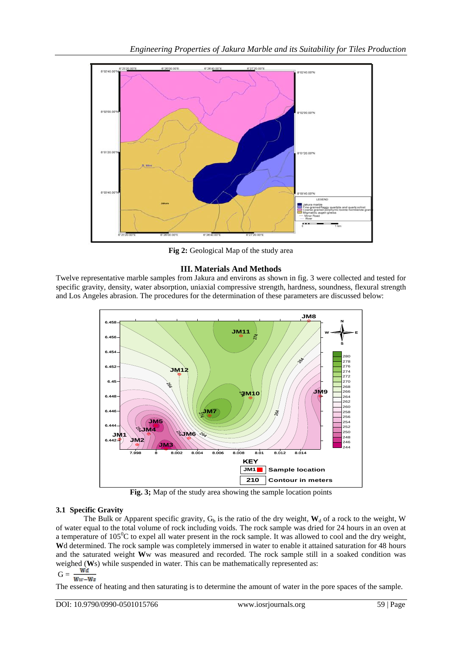

**Fig 2:** Geological Map of the study area

# **III. Materials And Methods**

Twelve representative marble samples from Jakura and environs as shown in fig. 3 were collected and tested for specific gravity, density, water absorption, uniaxial compressive strength, hardness, soundness, flexural strength and Los Angeles abrasion. The procedures for the determination of these parameters are discussed below:



**Fig. 3;** Map of the study area showing the sample location points

# **3.1 Specific Gravity**

The Bulk or Apparent specific gravity,  $G_b$  is the ratio of the dry weight,  $W_d$  of a rock to the weight, W of water equal to the total volume of rock including voids. The rock sample was dried for 24 hours in an oven at a temperature of  $105^{\circ}$ C to expel all water present in the rock sample. It was allowed to cool and the dry weight, **W**d determined. The rock sample was completely immersed in water to enable it attained saturation for 48 hours and the saturated weight **W**w was measured and recorded. The rock sample still in a soaked condition was weighed (**W**s) while suspended in water. This can be mathematically represented as:

$$
G = \frac{wa}{Ww - Ws}
$$

The essence of heating and then saturating is to determine the amount of water in the pore spaces of the sample.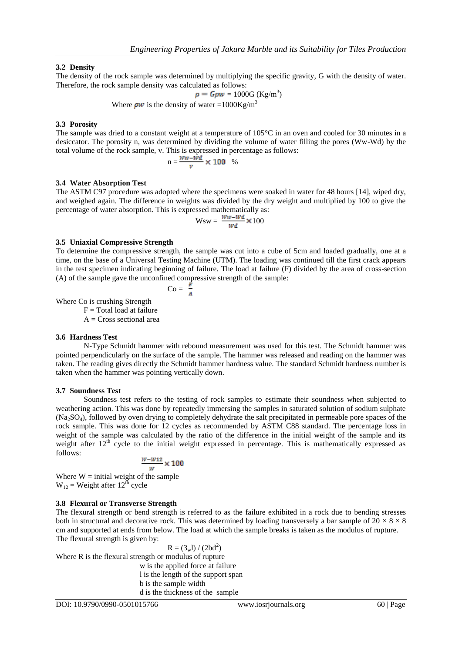### **3.2 Density**

The density of the rock sample was determined by multiplying the specific gravity, G with the density of water. Therefore, the rock sample density was calculated as follows:

 $= 1000G$  (Kg/m<sup>3</sup>)

Where  $\rho w$  is the density of water =1000Kg/m<sup>3</sup>

#### **3.3 Porosity**

The sample was dried to a constant weight at a temperature of 105°C in an oven and cooled for 30 minutes in a desiccator. The porosity n, was determined by dividing the volume of water filling the pores (Ww-Wd) by the total volume of the rock sample, v. This is expressed in percentage as follows:

$$
n = \frac{w_w - \bar{w}d}{v} \times 100 \quad \%
$$

#### **3.4 Water Absorption Test**

The ASTM C97 procedure was adopted where the specimens were soaked in water for 48 hours [14], wiped dry, and weighed again. The difference in weights was divided by the dry weight and multiplied by 100 to give the percentage of water absorption. This is expressed mathematically as:

$$
Wsw = \frac{ww - wd}{wd} \times 100
$$

#### **3.5 Uniaxial Compressive Strength**

To determine the compressive strength, the sample was cut into a cube of 5cm and loaded gradually, one at a time, on the base of a Universal Testing Machine (UTM). The loading was continued till the first crack appears in the test specimen indicating beginning of failure. The load at failure (F) divided by the area of cross-section (A) of the sample gave the unconfined compressive strength of the sample:

$$
\text{Co} = \frac{1}{4}
$$

Where Co is crushing Strength

 $F = Total load at failure$ 

 $A = Cross$  sectional area

#### **3.6 Hardness Test**

N-Type Schmidt hammer with rebound measurement was used for this test. The Schmidt hammer was pointed perpendicularly on the surface of the sample. The hammer was released and reading on the hammer was taken. The reading gives directly the Schmidt hammer hardness value. The standard Schmidt hardness number is taken when the hammer was pointing vertically down.

#### **3.7 Soundness Test**

Soundness test refers to the testing of rock samples to estimate their soundness when subjected to weathering action. This was done by repeatedly immersing the samples in saturated solution of sodium sulphate (Na2SO4), followed by oven drying to completely dehydrate the salt precipitated in permeable pore spaces of the rock sample. This was done for 12 cycles as recommended by ASTM C88 standard. The percentage loss in weight of the sample was calculated by the ratio of the difference in the initial weight of the sample and its weight after  $12<sup>th</sup>$  cycle to the initial weight expressed in percentage. This is mathematically expressed as follows:

$$
\frac{W-W12}{W} \times 100
$$

Where  $W =$  initial weight of the sample  $W_{12}$  = Weight after 12<sup>th</sup> cycle

#### **3.8 Flexural or Transverse Strength**

The flexural strength or bend strength is referred to as the failure exhibited in a rock due to bending stresses both in structural and decorative rock. This was determined by loading transversely a bar sample of  $20 \times 8 \times 8$ cm and supported at ends from below. The load at which the sample breaks is taken as the modulus of rupture. The flexural strength is given by:

$$
R = (3wl) / (2bd2)
$$

Where R is the flexural strength or modulus of rupture

w is the applied force at failure l is the length of the support span b is the sample width d is the thickness of the sample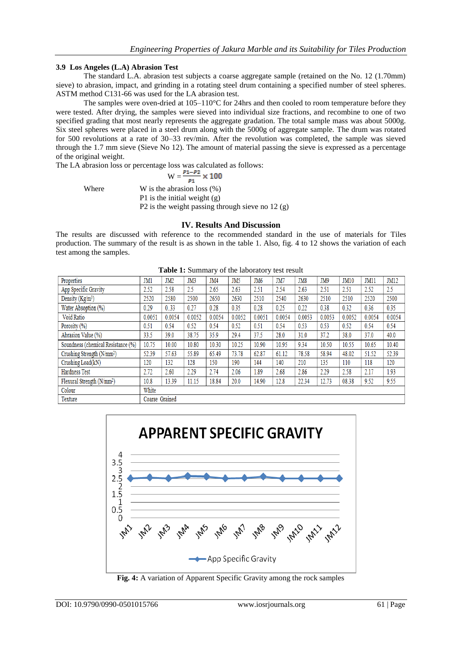#### **3.9 Los Angeles (L.A) Abrasion Test**

The standard L.A. abrasion test subjects a coarse aggregate sample (retained on the No. 12 (1.70mm) sieve) to abrasion, impact, and grinding in a rotating steel drum containing a specified number of steel spheres. ASTM method C131-66 was used for the LA abrasion test.

The samples were oven-dried at 105–110°C for 24hrs and then cooled to room temperature before they were tested. After drying, the samples were sieved into individual size fractions, and recombine to one of two specified grading that most nearly represents the aggregate gradation. The total sample mass was about 5000g. Six steel spheres were placed in a steel drum along with the 5000g of aggregate sample. The drum was rotated for 500 revolutions at a rate of 30–33 rev/min. After the revolution was completed, the sample was sieved through the 1.7 mm sieve (Sieve No 12). The amount of material passing the sieve is expressed as a percentage of the original weight.

The LA abrasion loss or percentage loss was calculated as follows:

$$
W = \frac{P_1 - P_2}{P_1} \times 100
$$

Where W is the abrasion loss  $(\%)$  P1 is the initial weight (g) P2 is the weight passing through sieve no 12 (g)

## **IV. Results And Discussion**

The results are discussed with reference to the recommended standard in the use of materials for Tiles production. The summary of the result is as shown in the table 1. Also, fig. 4 to 12 shows the variation of each test among the samples.

| <b>Table 1.</b> Building y of the habitatory test result |                |                 |        |        |        |                 |        |        |        |        |        |             |
|----------------------------------------------------------|----------------|-----------------|--------|--------|--------|-----------------|--------|--------|--------|--------|--------|-------------|
| Properties                                               | JM1            | JM <sub>2</sub> | JM3    | JM4    | JM5    | JM <sub>6</sub> | JM7    | JM8    | JM9    | JM10   | JM11   | <b>JM12</b> |
| App Specific Gravity                                     | 2.52           | 2.58            | 2.5    | 2.65   | 2.63   | 2.51            | 2.54   | 2.63   | 2.51   | 2.51   | 2.52   | 2.5         |
| Density $(Kg/m^3)$                                       | 2520           | 2580            | 2500   | 2650   | 2630   | 2510            | 2540   | 2630   | 2510   | 2510   | 2520   | 2500        |
| Water Absoption (%)                                      | 0.29           | 0.33            | 0.27   | 0.28   | 0.35   | 0.28            | 0.25   | 0.22   | 0.38   | 0.32   | 0.36   | 0.35        |
| Void Ratio                                               | 0.0051         | 0.0054          | 0.0052 | 0.0054 | 0.0052 | 0.0051          | 0.0054 | 0.0053 | 0.0053 | 0.0052 | 0.0054 | 0.0054      |
| Porosity (%)                                             | 0.51           | 0.54            | 0.52   | 0.54   | 0.52   | 0.51            | 0.54   | 0.53   | 0.53   | 0.52   | 0.54   | 0.54        |
| Abrasion Value (%)                                       | 33.5           | 39.0            | 38.75  | 35.9   | 29.4   | 37.5            | 28.0   | 31.0   | 37.2   | 38.0   | 37.0   | 40.0        |
| Soundness (chemical Resistance (%)                       | 10.75          | 10.00           | 10.80  | 10.30  | 10.25  | 10.90           | 10.95  | 9.34   | 10.50  | 10.55  | 10.65  | 10.40       |
| Crushing Strength (N/mm <sup>2</sup> )                   | 52.39          | 57.63           | 55.89  | 65.49  | 73.78  | 62.87           | 61.12  | 78.58  | 58.94  | 48.02  | 51.52  | 52.39       |
| Crushing Load(kN)                                        | 120            | 132             | 128    | 150    | 190    | 144             | 140    | 210    | 135    | 110    | 118    | 120         |
| Hardness Test                                            | 2.72           | 2.60            | 2.29   | 2.74   | 2.06   | 1.89            | 2.68   | 2.86   | 2.29   | 2.58   | 2.17   | 1.93        |
| Flexural Strength $(N/mm^2)$                             | 10.8           | 13.39           | 11.15  | 18.84  | 20.0   | 14.90           | 12.8   | 22.34  | 12.73  | 08.38  | 9.52   | 9.55        |
| Colour                                                   | White          |                 |        |        |        |                 |        |        |        |        |        |             |
| Texture                                                  | Coarse Grained |                 |        |        |        |                 |        |        |        |        |        |             |

**Table 1:** Summary of the laboratory test result



**Fig. 4:** A variation of Apparent Specific Gravity among the rock samples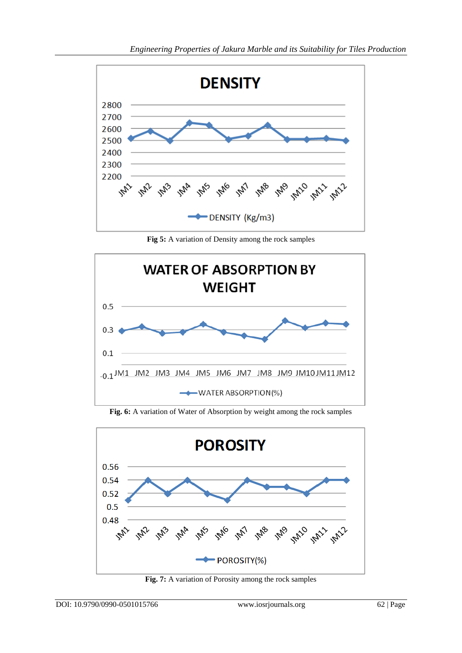

**Fig 5:** A variation of Density among the rock samples



**Fig. 6:** A variation of Water of Absorption by weight among the rock samples



**Fig. 7:** A variation of Porosity among the rock samples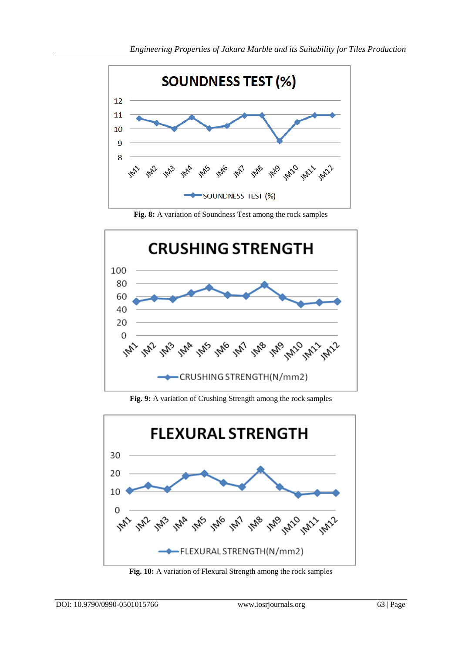

**Fig. 8:** A variation of Soundness Test among the rock samples



**Fig. 9:** A variation of Crushing Strength among the rock samples



**Fig. 10:** A variation of Flexural Strength among the rock samples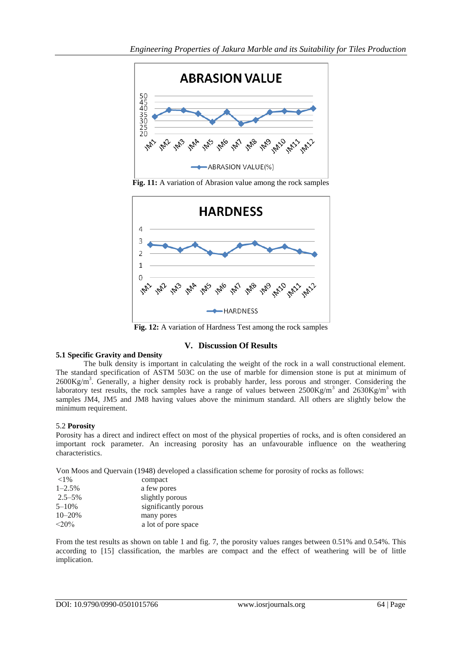

**Fig. 11:** A variation of Abrasion value among the rock samples



**Fig. 12:** A variation of Hardness Test among the rock samples

# **V. Discussion Of Results**

## **5.1 Specific Gravity and Density**

The bulk density is important in calculating the weight of the rock in a wall constructional element. The standard specification of ASTM 503C on the use of marble for dimension stone is put at minimum of  $2600Kg/m<sup>3</sup>$ . Generally, a higher density rock is probably harder, less porous and stronger. Considering the laboratory test results, the rock samples have a range of values between  $2500 \text{Kg/m}^3$  and  $2630 \text{Kg/m}^3$  with samples JM4, JM5 and JM8 having values above the minimum standard. All others are slightly below the minimum requirement.

## 5.2 **Porosity**

Porosity has a direct and indirect effect on most of the physical properties of rocks, and is often considered an important rock parameter. An increasing porosity has an unfavourable influence on the weathering characteristics.

Von Moos and Quervain (1948) developed a classification scheme for porosity of rocks as follows:

| ${<}1\%$    | compact              |
|-------------|----------------------|
| $1 - 2.5%$  | a few pores          |
| $2.5 - 5\%$ | slightly porous      |
| $5 - 10\%$  | significantly porous |
| $10 - 20%$  | many pores           |
| $<$ 20%     | a lot of pore space  |

From the test results as shown on table 1 and fig. 7, the porosity values ranges between 0.51% and 0.54%. This according to [15] classification, the marbles are compact and the effect of weathering will be of little implication.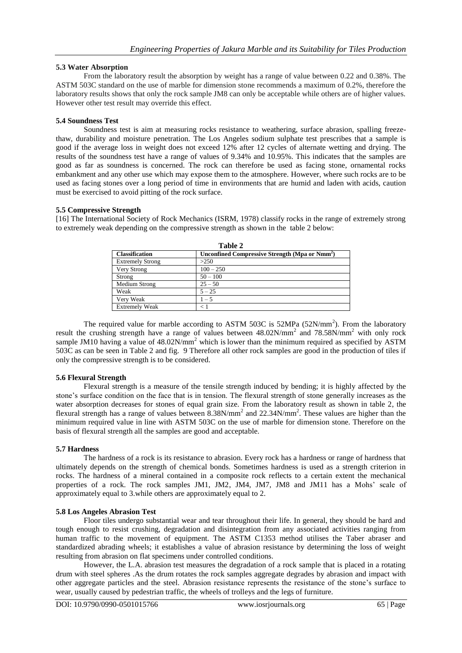### **5.3 Water Absorption**

From the laboratory result the absorption by weight has a range of value between 0.22 and 0.38%. The ASTM 503C standard on the use of marble for dimension stone recommends a maximum of 0.2%, therefore the laboratory results shows that only the rock sample JM8 can only be acceptable while others are of higher values. However other test result may override this effect.

### **5.4 Soundness Test**

Soundness test is aim at measuring rocks resistance to weathering, surface abrasion, spalling freezethaw, durability and moisture penetration. The Los Angeles sodium sulphate test prescribes that a sample is good if the average loss in weight does not exceed 12% after 12 cycles of alternate wetting and drying. The results of the soundness test have a range of values of 9.34% and 10.95%. This indicates that the samples are good as far as soundness is concerned. The rock can therefore be used as facing stone, ornamental rocks embankment and any other use which may expose them to the atmosphere. However, where such rocks are to be used as facing stones over a long period of time in environments that are humid and laden with acids, caution must be exercised to avoid pitting of the rock surface.

### **5.5 Compressive Strength**

[16] The International Society of Rock Mechanics (ISRM, 1978) classify rocks in the range of extremely strong to extremely weak depending on the compressive strength as shown in the table 2 below:

| ravie 2                 |                                                            |  |  |  |  |
|-------------------------|------------------------------------------------------------|--|--|--|--|
| <b>Classification</b>   | Unconfined Compressive Strength (Mpa or Nmm <sup>2</sup> ) |  |  |  |  |
| <b>Extremely Strong</b> | >250                                                       |  |  |  |  |
| Very Strong             | $100 - 250$                                                |  |  |  |  |
| Strong                  | $50 - 100$                                                 |  |  |  |  |
| Medium Strong           | $25 - 50$                                                  |  |  |  |  |
| Weak                    | $5 - 25$                                                   |  |  |  |  |
| Very Weak               | $1 - 5$                                                    |  |  |  |  |
| <b>Extremely Weak</b>   |                                                            |  |  |  |  |

**Table 2**

The required value for marble according to ASTM 503C is 52MPa (52N/mm<sup>2</sup>). From the laboratory result the crushing strength have a range of values between 48.02N/mm<sup>2</sup> and 78.58N/mm<sup>2</sup> with only rock sample JM10 having a value of  $48.02N/mm^2$  which is lower than the minimum required as specified by ASTM 503C as can be seen in Table 2 and fig. 9 Therefore all other rock samples are good in the production of tiles if only the compressive strength is to be considered.

#### **5.6 Flexural Strength**

Flexural strength is a measure of the tensile strength induced by bending; it is highly affected by the stone's surface condition on the face that is in tension. The flexural strength of stone generally increases as the water absorption decreases for stones of equal grain size. From the laboratory result as shown in table 2, the flexural strength has a range of values between  $8.38N/mm^2$  and  $22.34N/mm^2$ . These values are higher than the minimum required value in line with ASTM 503C on the use of marble for dimension stone. Therefore on the basis of flexural strength all the samples are good and acceptable.

## **5.7 Hardness**

The hardness of a rock is its resistance to abrasion. Every rock has a hardness or range of hardness that ultimately depends on the strength of chemical bonds. Sometimes hardness is used as a strength criterion in rocks. The hardness of a mineral contained in a composite rock reflects to a certain extent the mechanical properties of a rock. The rock samples JM1, JM2, JM4, JM7, JM8 and JM11 has a Mohs' scale of approximately equal to 3.while others are approximately equal to 2.

#### **5.8 Los Angeles Abrasion Test**

Floor tiles undergo substantial wear and tear throughout their life. In general, they should be hard and tough enough to resist crushing, degradation and disintegration from any associated activities ranging from human traffic to the movement of equipment. The ASTM C1353 method utilises the Taber abraser and standardized abrading wheels; it establishes a value of abrasion resistance by determining the loss of weight resulting from abrasion on flat specimens under controlled conditions.

However, the L.A. abrasion test measures the degradation of a rock sample that is placed in a rotating drum with steel spheres .As the drum rotates the rock samples aggregate degrades by abrasion and impact with other aggregate particles and the steel. Abrasion resistance represents the resistance of the stone's surface to wear, usually caused by pedestrian traffic, the wheels of trolleys and the legs of furniture.